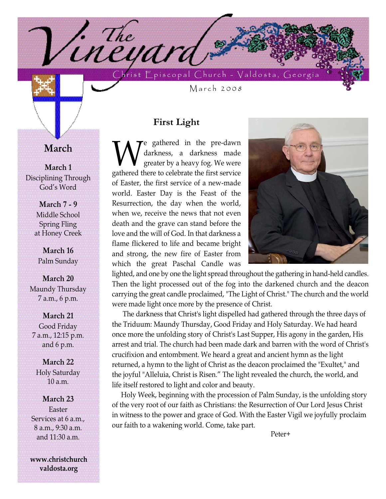hrist  $\mathsf{E}_{\mathsf{p}}$ iscopal Church - Valdosta, Georgi

March 2008

### **First Light**

<sup>1.</sup>Theyara

**W**e gathered in the pre-dawn<br>greater by a heavy fog. We were<br>gathered there to celebrate the first service darkness, a darkness made greater by a heavy fog. We were gathered there to celebrate the first service of Easter, the first service of a new-made world. Easter Day is the Feast of the Resurrection, the day when the world, when we, receive the news that not even death and the grave can stand before the love and the will of God. In that darkness a flame flickered to life and became bright and strong, the new fire of Easter from which the great Paschal Candle was



lighted, and one by one the light spread throughout the gathering in hand-held candles. Then the light processed out of the fog into the darkened church and the deacon carrying the great candle proclaimed, "The Light of Christ." The church and the world were made light once more by the presence of Christ.

The darkness that Christ's light dispelled had gathered through the three days of the Triduum: Maundy Thursday, Good Friday and Holy Saturday. We had heard once more the unfolding story of Christ's Last Supper, His agony in the garden, His arrest and trial. The church had been made dark and barren with the word of Christ's crucifixion and entombment. We heard a great and ancient hymn as the light returned, a hymn to the light of Christ as the deacon proclaimed the "Exultet," and the joyful "Alleluia, Christ is Risen." The light revealed the church, the world, and life itself restored to light and color and beauty.

Holy Week, beginning with the procession of Palm Sunday, is the unfolding story of the very root of our faith as Christians: the Resurrection of Our Lord Jesus Christ in witness to the power and grace of God. With the Easter Vigil we joyfully proclaim our faith to a wakening world. Come, take part.

Peter+

**March**

**March 1** Disciplining Through God's Word

> **March 7 - 9** Middle School Spring Fling at Honey Creek

**March 16** Palm Sunday

**March 20** Maundy Thursday 7 a.m., 6 p.m.

**March 21** Good Friday 7 a.m., 12:15 p.m. and 6 p.m.

**March 22** Holy Saturday 10 a.m.

**March 23** Easter Services at 6 a.m., 8 a.m., 9:30 a.m. and 11:30 a.m.

**www.christchurch valdosta.org**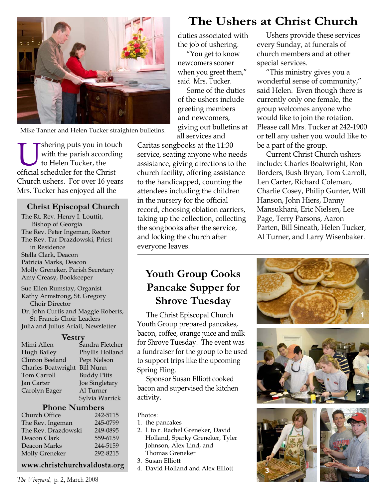

Mike Tanner and Helen Tucker straighten bulletins.

shering puts you in touch with the parish according to Helen Tucker, the official scheduler for the Christ Church ushers. For over 16 years Mrs. Tucker has enjoyed all the

#### **Christ Episcopal Church**

The Rt. Rev. Henry I. Louttit, Bishop of Georgia The Rev. Peter Ingeman, Rector The Rev. Tar Drazdowski, Priest in Residence Stella Clark, Deacon Patricia Marks, Deacon Molly Greneker, Parish Secretary Amy Creasy, Bookkeeper Sue Ellen Rumstay, Organist

Kathy Armstrong, St. Gregory Choir Director Dr. John Curtis and Maggie Roberts, St. Francis Choir Leaders Julia and Julius Ariail, Newsletter

#### **Vestry**

| Mimi Allen         | Sandra Fletcher    |
|--------------------|--------------------|
| Hugh Bailey        | Phyllis Holland    |
| Clinton Beeland    | Pepi Nelson        |
| Charles Boatwright | <b>Bill Nunn</b>   |
| Tom Carroll        | <b>Buddy Pitts</b> |
| Jan Carter         | Joe Singletary     |
| Carolyn Eager      | Al Turner          |
|                    | Sylvia Warrick     |
|                    |                    |

#### **Phone Numbers**

| Church Office       | 242-5115 |
|---------------------|----------|
| The Rev. Ingeman    | 245-0799 |
| The Rev. Drazdowski | 249-0895 |
| Deacon Clark        | 559-6159 |
| Deacon Marks        | 244-5159 |
| Molly Greneker      | 292-8215 |

#### **www.christchurchvaldosta.org**

*The Vineyard*, p. 2, March 2008

duties associated with the job of ushering.

"You get to know newcomers sooner when you greet them," said Mrs. Tucker.

Some of the duties of the ushers include greeting members and newcomers, giving out bulletins at all services and

Caritas songbooks at the 11:30 service, seating anyone who needs assistance, giving directions to the church facility, offering assistance to the handicapped, counting the attendees including the children in the nursery for the official record, choosing oblation carriers, taking up the collection, collecting the songbooks after the service, and locking the church after everyone leaves.

### **Youth Group Cooks Pancake Supper for Shrove Tuesday**

The Christ Episcopal Church Youth Group prepared pancakes, bacon, coffee, orange juice and milk for Shrove Tuesday. The event was a fundraiser for the group to be used to support trips like the upcoming Spring Fling.

Sponsor Susan Elliott cooked bacon and supervised the kitchen activity.

#### Photos:

- 1. the pancakes
- 2. l. to r. Rachel Greneker, David Holland, Sparky Greneker, Tyler Johnson, Alex Lind, and Thomas Greneker
- 3. Susan Elliott
- 4. David Holland and Alex Elliott

## **The Ushers at Christ Church**

Ushers provide these services every Sunday, at funerals of church members and at other special services.

"This ministry gives you a wonderful sense of community," said Helen. Even though there is currently only one female, the group welcomes anyone who would like to join the rotation. Please call Mrs. Tucker at 242-1900 or tell any usher you would like to be a part of the group.

Current Christ Church ushers include: Charles Boatwright, Ron Borders, Bush Bryan, Tom Carroll, Len Carter, Richard Coleman, Charlie Cosey, Philip Gunter, Will Hanson, John Hiers, Danny Mansukhani, Eric Nielsen, Lee Page, Terry Parsons, Aaron Parten, Bill Sineath, Helen Tucker, Al Turner, and Larry Wisenbaker.







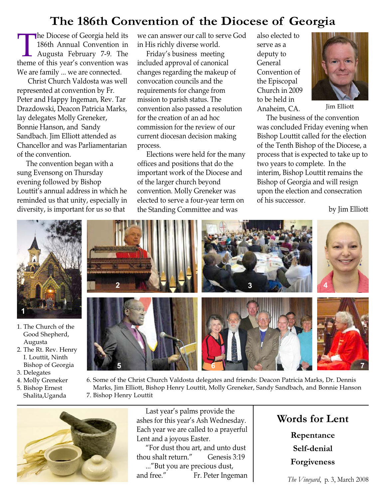# **The 186th Convention of the Diocese of Georgia**

The Diocese of Georgia held its<br>186th Annual Convention in<br>Augusta February 7-9. The<br>theme of this year's convention was 186th Annual Convention in Augusta February 7-9. The We are family ... we are connected.

Christ Church Valdosta was well represented at convention by Fr. Peter and Happy Ingeman, Rev. Tar Drazdowski, Deacon Patricia Marks, lay delegates Molly Greneker, Bonnie Hanson, and Sandy Sandbach. Jim Elliott attended as Chancellor and was Parliamentarian of the convention.

The convention began with a sung Evensong on Thursday evening followed by Bishop Louttit's annual address in which he reminded us that unity, especially in diversity, is important for us so that

we can answer our call to serve God in His richly diverse world.

Friday's business meeting included approval of canonical changes regarding the makeup of convocation councils and the requirements for change from mission to parish status. The convention also passed a resolution for the creation of an ad hoc commission for the review of our current diocesan decision making process.

Elections were held for the many offices and positions that do the important work of the Diocese and of the larger church beyond convention. Molly Greneker was elected to serve a four-year term on the Standing Committee and was

also elected to serve as a deputy to **General** Convention of the Episcopal Church in 2009 to be held in Anaheim, CA.



Jim Elliott

The business of the convention was concluded Friday evening when Bishop Louttit called for the election of the Tenth Bishop of the Diocese, a process that is expected to take up to two years to complete. In the interim, Bishop Louttit remains the Bishop of Georgia and will resign upon the election and consecration of his successor.

by Jim Elliott



- 1. The Church of the Good Shepherd, Augusta
- 2. The Rt. Rev. Henry I. Louttit, Ninth Bishop of Georgia
- 3. Delegates
- 4. Molly Greneker
- 5. Bishop Ernest Shalita,Uganda



6. Some of the Christ Church Valdosta delegates and friends: Deacon Patricia Marks, Dr. Dennis Marks, Jim Elliott, Bishop Henry Louttit, Molly Greneker, Sandy Sandbach, and Bonnie Hanson 7. Bishop Henry Louttit



Last year's palms provide the ashes for this year's Ash Wednesday. Each year we are called to a prayerful Lent and a joyous Easter.

"For dust thou art, and unto dust thou shalt return." Genesis 3:19 ..."But you are precious dust, and free." Fr. Peter Ingeman

### **Words for Lent**

**Repentance Self-denial Forgiveness**

*The Vineyard*, p. 3, March 2008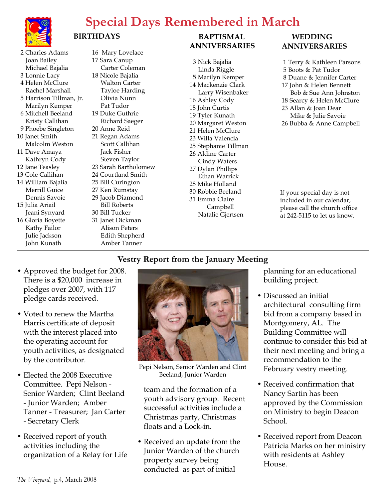

# **Special Days Remembered in March**

#### 2 Charles Adams Joan Bailey Michael Bajalia 3 Lonnie Lacy 4 Helen McClure Rachel Marshall 5 Harrison Tillman, Jr. Marilyn Kemper 6 Mitchell Beeland Kristy Callihan 9 Phoebe Singleton 10 Janet Smith Malcolm Weston 11 Dave Amaya Kathryn Cody 12 Jane Teasley 13 Cole Callihan 14 William Bajalia Merrill Guice

Dennis Savoie 15 Julia Ariail Jeani Synyard 16 Gloria Boyette Kathy Failor Julie Jackson John Kunath

16 Mary Lovelace 17 Sara Canup Carter Coleman 18 Nicole Bajalia Walton Carter Tayloe Harding Olivia Nunn Pat Tudor 19 Duke Guthrie Richard Saeger 20 Anne Reid 21 Regan Adams Scott Callihan Jack Fisher Steven Taylor 23 Sarah Bartholomew 24 Courtland Smith 25 Bill Curington 27 Ken Rumstay 29 Jacob Diamond Bill Roberts 30 Bill Tucker 31 Janet Dickman Alison Peters Edith Shepherd Amber Tanner

**BIRTHDAYS** 

#### **BAPTISMAL ANNIVERSARIES**

3 Nick Bajalia Linda Riggle 5 Marilyn Kemper 14 Mackenzie Clark Larry Wisenbaker 16 Ashley Cody 18 John Curtis 19 Tyler Kunath 20 Margaret Weston 21 Helen McClure 23 Willa Valencia 25 Stephanie Tillman 26 Aldine Carter Cindy Waters 27 Dylan Phillips Ethan Warrick 28 Mike Holland 30 Robbie Beeland 31 Emma Claire Campbell Natalie Gjertsen

#### **WEDDING ANNIVERSARIES**

- 1 Terry & Kathleen Parsons 5 Boots & Pat Tudor 8 Duane & Jennifer Carter
- 17 John & Helen Bennett Bob & Sue Ann Johnston
- 18 Searcy & Helen McClure
- 23 Allan & Joan Dear Mike & Julie Savoie
- 26 Bubba & Anne Campbell

If your special day is not included in our calendar, please call the church office at 242-5115 to let us know.

### **Vestry Report from the January Meeting**

- Approved the budget for 2008. There is a \$20,000 increase in pledges over 2007, with 117 pledge cards received.
- Voted to renew the Martha Harris certificate of deposit with the interest placed into the operating account for youth activities, as designated by the contributor.
- Elected the 2008 Executive Committee. Pepi Nelson - Senior Warden; Clint Beeland - Junior Warden; Amber Tanner - Treasurer; Jan Carter - Secretary Clerk
- Received report of youth activities including the organization of a Relay for Life



Pepi Nelson, Senior Warden and Clint Beeland, Junior Warden

team and the formation of a youth advisory group. Recent successful activities include a Christmas party, Christmas floats and a Lock-in.

• Received an update from the Junior Warden of the church property survey being conducted as part of initial

planning for an educational building project.

- Discussed an initial architectural consulting firm bid from a company based in Montgomery, AL. The Building Committee will continue to consider this bid at their next meeting and bring a recommendation to the February vestry meeting.
- Received confirmation that Nancy Sartin has been approved by the Commission on Ministry to begin Deacon School.
- Received report from Deacon Patricia Marks on her ministry with residents at Ashley House.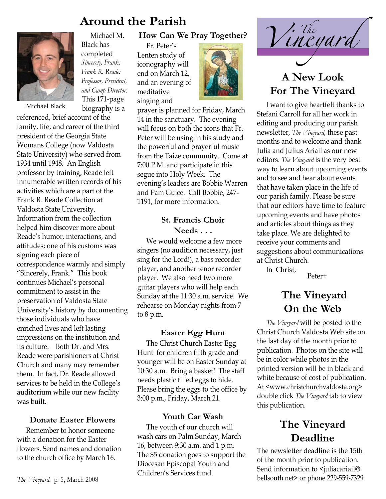

Michael M. Black has completed *Sincerely, Frank; Frank R. Reade: Professor, President, and Camp Director.*

This 171-page biography is a

Michael Black

referenced, brief account of the family, life, and career of the third president of the Georgia State Womans College (now Valdosta State University) who served from 1934 until 1948. An English professor by training, Reade left innumerable written records of his activities which are a part of the Frank R. Reade Collection at Valdosta State University. Information from the collection helped him discover more about Reade's humor, interactions, and attitudes; one of his customs was signing each piece of correspondence warmly and simply "Sincerely, Frank." This book continues Michael's personal commitment to assist in the preservation of Valdosta State University's history by documenting those individuals who have enriched lives and left lasting impressions on the institution and its culture. Both Dr. and Mrs. Reade were parishioners at Christ Church and many may remember them. In fact, Dr. Reade allowed services to be held in the College's auditorium while our new facility was built.

#### **Donate Easter Flowers**

Remember to honor someone with a donation for the Easter flowers. Send names and donation to the church office by March 16.

#### **How Can We Pray Together?**

Fr. Peter's Lenten study of iconography will end on March 12, and an evening of meditative singing and



prayer is planned for Friday, March 14 in the sanctuary. The evening will focus on both the icons that Fr. Peter will be using in his study and the powerful and prayerful music from the Taize community. Come at 7:00 P.M. and participate in this segue into Holy Week. The evening's leaders are Bobbie Warren and Pam Guice. Call Bobbie, 247- 1191, for more information.

#### **St. Francis Choir Needs . . .**

We would welcome a few more singers (no audition necessary, just sing for the Lord!), a bass recorder player, and another tenor recorder player. We also need two more guitar players who will help each Sunday at the 11:30 a.m. service. We rehearse on Monday nights from 7 to 8 p.m.

#### **Easter Egg Hunt**

The Christ Church Easter Egg Hunt for children fifth grade and younger will be on Easter Sunday at 10:30 a.m. Bring a basket! The staff needs plastic filled eggs to hide. Please bring the eggs to the office by 3:00 p.m., Friday, March 21.

#### **Youth Car Wash**

The youth of our church will wash cars on Palm Sunday, March 16, between 9:30 a.m. and 1 p.m. The \$5 donation goes to support the Diocesan Episcopal Youth and Children's Services fund.



# **A New Look For The Vineyard**

I want to give heartfelt thanks to Stefani Carroll for all her work in editing and producing our parish newsletter, *The Vineyard*, these past months and to welcome and thank Julia and Julius Ariail as our new editors. *The Vineyard* is the very best way to learn about upcoming events and to see and hear about events that have taken place in the life of our parish family. Please be sure that our editors have time to feature upcoming events and have photos and articles about things as they take place. We are delighted to receive your comments and suggestions about communications at Christ Church.

In Christ, Peter+

## **The Vineyard On the Web**

*The Vineyard* will be posted to the Christ Church Valdosta Web site on the last day of the month prior to publication. Photos on the site will be in color while photos in the printed version will be in black and white because of cost of publication. At <www.christchurchvaldosta.org> double click *The Vineyard* tab to view this publication.

### **The Vineyard Deadline**

The newsletter deadline is the 15th of the month prior to publication. Send information to <juliacariail@ *The Vineyard*, p. 5, March 2008 **Example 229-859-7329**. bellsouth.net> or phone 229-559-7329.